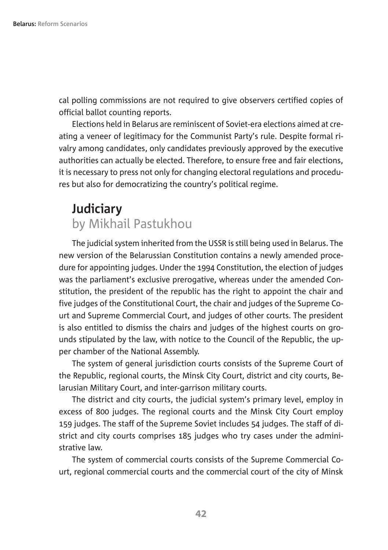cal polling commissions are not required to give observers certified copies of official ballot counting reports.

Elections held in Belarus are reminiscent of Soviet-era elections aimed at creating a veneer of legitimacy for the Communist Party's rule. Despite formal rivalry among candidates, only candidates previously approved by the executive authorities can actually be elected. Therefore, to ensure free and fair elections, it is necessary to press not only for changing electoral regulations and procedures but also for democratizing the country's political regime.

## **Judiciary** by Mikhail Pastukhou

The judicial system inherited from the USSR is still being used in Belarus. The new version of the Belarussian Constitution contains a newly amended procedure for appointing judges. Under the 1994 Constitution, the election of judges was the parliament's exclusive prerogative, whereas under the amended Constitution, the president of the republic has the right to appoint the chair and five judges of the Constitutional Court, the chair and judges of the Supreme Court and Supreme Commercial Court, and judges of other courts. The president is also entitled to dismiss the chairs and judges of the highest courts on grounds stipulated by the law, with notice to the Council of the Republic, the upper chamber of the National Assembly.

The system of general jurisdiction courts consists of the Supreme Court of the Republic, regional courts, the Minsk City Court, district and city courts, Belarusian Military Court, and inter-garrison military courts.

The district and city courts, the judicial system's primary level, employ in excess of 800 judges. The regional courts and the Minsk City Court employ 159 judges. The staff of the Supreme Soviet includes 54 judges. The staff of district and city courts comprises 185 judges who try cases under the administrative law.

The system of commercial courts consists of the Supreme Commercial Court, regional commercial courts and the commercial court of the city of Minsk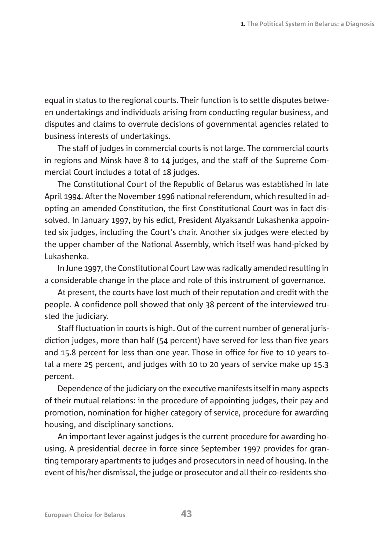equal in status to the regional courts. Their function is to settle disputes between undertakings and individuals arising from conducting regular business, and disputes and claims to overrule decisions of governmental agencies related to business interests of undertakings.

The staff of judges in commercial courts is not large. The commercial courts in regions and Minsk have 8 to 14 judges, and the staff of the Supreme Commercial Court includes a total of 18 judges.

The Constitutional Court of the Republic of Belarus was established in late April 1994. After the November 1996 national referendum, which resulted in adopting an amended Constitution, the first Constitutional Court was in fact dissolved. In January 1997, by his edict, President Alyaksandr Lukashenka appointed six judges, including the Court's chair. Another six judges were elected by the upper chamber of the National Assembly, which itself was hand-picked by Lukashenka.

In June 1997, the Constitutional Court Law was radically amended resulting in a considerable change in the place and role of this instrument of governance.

At present, the courts have lost much of their reputation and credit with the people. A confidence poll showed that only 38 percent of the interviewed trusted the judiciary.

Staff fluctuation in courts is high. Out of the current number of general jurisdiction judges, more than half (54 percent) have served for less than five years and 15.8 percent for less than one year. Those in office for five to 10 years total a mere 25 percent, and judges with 10 to 20 years of service make up 15.3 percent.

Dependence of the judiciary on the executive manifests itself in many aspects of their mutual relations: in the procedure of appointing judges, their pay and promotion, nomination for higher category of service, procedure for awarding housing, and disciplinary sanctions.

An important lever against judges is the current procedure for awarding housing. A presidential decree in force since September 1997 provides for granting temporary apartments to judges and prosecutors in need of housing. In the event of his/her dismissal, the judge or prosecutor and all their co-residents sho